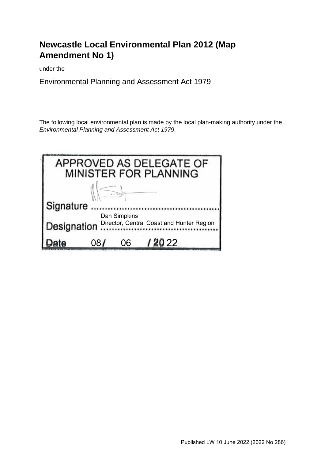# **Newcastle Local Environmental Plan 2012 (Map Amendment No 1)**

under the

Environmental Planning and Assessment Act 1979

The following local environmental plan is made by the local plan-making authority under the *Environmental Planning and Assessment Act 1979*.

|             |    |              | APPROVED AS DELEGATE OF<br>MINISTER FOR PLANNING |  |
|-------------|----|--------------|--------------------------------------------------|--|
|             |    |              |                                                  |  |
| Signature   |    |              |                                                  |  |
|             |    | Dan Simpkins | Director, Central Coast and Hunter Region        |  |
| Designation |    |              |                                                  |  |
|             | 08 | 06           | / 20 22                                          |  |